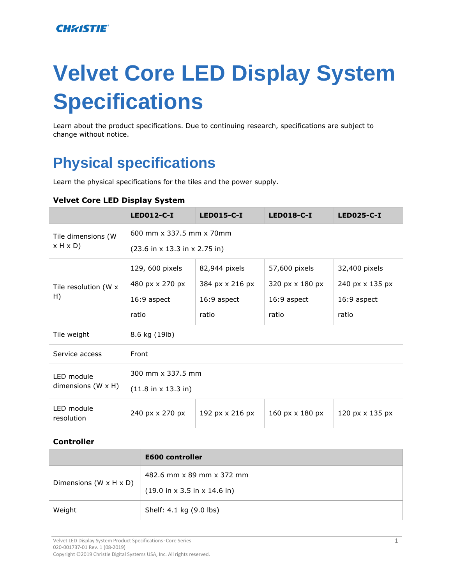### **CHRISTIE®**

# **Velvet Core LED Display System Specifications**

Learn about the product specifications. Due to continuing research, specifications are subject to change without notice.

# **Physical specifications**

Learn the physical specifications for the tiles and the power supply.

|  | <b>Velvet Core LED Display System</b> |
|--|---------------------------------------|
|--|---------------------------------------|

|                                         | $LED012-C-I$                                              | <b>LED015-C-I</b> | <b>LED018-C-I</b>      | <b>LED025-C-I</b> |  |
|-----------------------------------------|-----------------------------------------------------------|-------------------|------------------------|-------------------|--|
| Tile dimensions (W                      | 600 mm x 337.5 mm x 70mm                                  |                   |                        |                   |  |
| x H x D                                 | $(23.6 \text{ in } x 13.3 \text{ in } x 2.75 \text{ in})$ |                   |                        |                   |  |
| Tile resolution (W x<br>H)              | 129, 600 pixels                                           | 82,944 pixels     | 57,600 pixels          | 32,400 pixels     |  |
|                                         | 480 px x 270 px                                           | 384 px x 216 px   | 320 px x 180 px        | 240 px x 135 px   |  |
|                                         | 16:9 aspect                                               | 16:9 aspect       | 16:9 aspect            | 16:9 aspect       |  |
|                                         | ratio                                                     | ratio             | ratio                  | ratio             |  |
| Tile weight                             | 8.6 kg (19lb)                                             |                   |                        |                   |  |
| Service access                          | Front                                                     |                   |                        |                   |  |
| LED module<br>dimensions $(W \times H)$ | 300 mm x 337.5 mm                                         |                   |                        |                   |  |
|                                         | $(11.8 \text{ in } x 13.3 \text{ in})$                    |                   |                        |                   |  |
| LED module<br>resolution                | 240 px x 270 px                                           | 192 px x 216 px   | 160 $px \times 180 px$ | 120 px x 135 px   |  |

#### **Controller**

|                        | <b>E600 controller</b>                                   |
|------------------------|----------------------------------------------------------|
| Dimensions (W x H x D) | 482.6 mm x 89 mm x 372 mm                                |
|                        | $(19.0 \text{ in } x 3.5 \text{ in } x 14.6 \text{ in})$ |
| Weight                 | Shelf: 4.1 kg (9.0 lbs)                                  |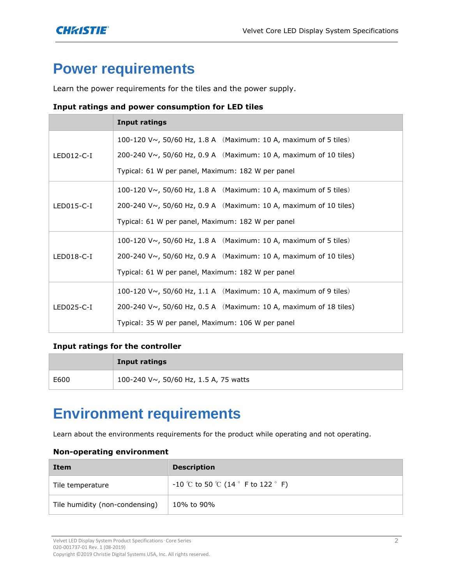# **Power requirements**

Learn the power requirements for the tiles and the power supply.

#### **Input ratings and power consumption for LED tiles**

|              | <b>Input ratings</b>                                             |  |  |  |
|--------------|------------------------------------------------------------------|--|--|--|
|              | 100-120 V~, 50/60 Hz, 1.8 A (Maximum: 10 A, maximum of 5 tiles)  |  |  |  |
| LED012-C-I   | 200-240 V~, 50/60 Hz, 0.9 A (Maximum: 10 A, maximum of 10 tiles) |  |  |  |
|              | Typical: 61 W per panel, Maximum: 182 W per panel                |  |  |  |
|              | 100-120 V~, 50/60 Hz, 1.8 A (Maximum: 10 A, maximum of 5 tiles)  |  |  |  |
| $LED015-C-I$ | 200-240 V~, 50/60 Hz, 0.9 A (Maximum: 10 A, maximum of 10 tiles) |  |  |  |
|              | Typical: 61 W per panel, Maximum: 182 W per panel                |  |  |  |
|              | 100-120 V~, 50/60 Hz, 1.8 A (Maximum: 10 A, maximum of 5 tiles)  |  |  |  |
| $LED018-C-I$ | 200-240 V~, 50/60 Hz, 0.9 A (Maximum: 10 A, maximum of 10 tiles) |  |  |  |
|              | Typical: 61 W per panel, Maximum: 182 W per panel                |  |  |  |
| LED025-C-I   | 100-120 V~, 50/60 Hz, 1.1 A (Maximum: 10 A, maximum of 9 tiles)  |  |  |  |
|              | 200-240 V~, 50/60 Hz, 0.5 A (Maximum: 10 A, maximum of 18 tiles) |  |  |  |
|              | Typical: 35 W per panel, Maximum: 106 W per panel                |  |  |  |

#### **Input ratings for the controller**

|      | <b>Input ratings</b>                  |
|------|---------------------------------------|
| E600 | 100-240 V~, 50/60 Hz, 1.5 A, 75 watts |

### **Environment requirements**

Learn about the environments requirements for the product while operating and not operating.

#### **Non-operating environment**

| Item                           | <b>Description</b>                                    |
|--------------------------------|-------------------------------------------------------|
| Tile temperature               | $-10$ °C to 50 °C (14 $\degree$ F to 122 $\degree$ F) |
| Tile humidity (non-condensing) | 10% to 90%                                            |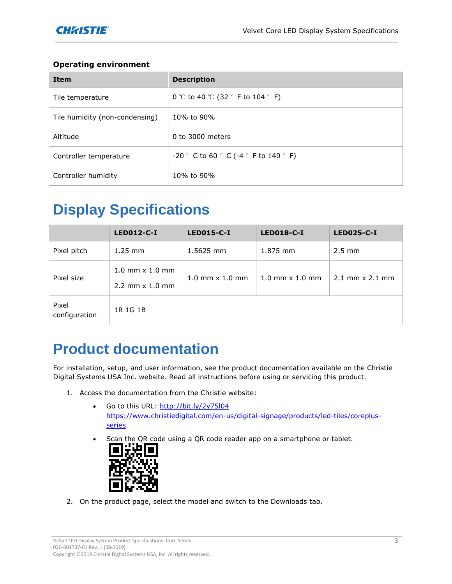### **Operating environment**

| <b>Item</b>                    | <b>Description</b>                                                         |
|--------------------------------|----------------------------------------------------------------------------|
| Tile temperature               | 0 °C to 40 °C (32 $\degree$ F to 104 $\degree$ F)                          |
| Tile humidity (non-condensing) | 10% to 90%                                                                 |
| Altitude                       | 0 to 3000 meters                                                           |
| Controller temperature         | $-20$ $\degree$ C to 60 $\degree$ C ( $-4$ $\degree$ F to 140 $\degree$ F) |
| Controller humidity            | 10% to 90%                                                                 |

# **Display Specifications**

|                        | <b>LED012-C-I</b>                                                                        | <b>LED015-C-I</b>                          | <b>LED018-C-I</b>        | <b>LED025-C-I</b>        |
|------------------------|------------------------------------------------------------------------------------------|--------------------------------------------|--------------------------|--------------------------|
| Pixel pitch            | $1.25$ mm                                                                                | 1.5625 mm                                  | 1.875 mm                 | $2.5 \text{ mm}$         |
| Pixel size             | $1.0 \, \text{mm} \times 1.0 \, \text{mm}$<br>$2.2 \, \text{mm} \times 1.0 \, \text{mm}$ | $1.0 \, \text{mm} \times 1.0 \, \text{mm}$ | $1.0$ mm $\times$ 1.0 mm | $2.1$ mm $\times$ 2.1 mm |
| Pixel<br>configuration | 1R 1G 1B                                                                                 |                                            |                          |                          |

## **Product documentation**

For installation, setup, and user information, see the product documentation available on the Christie Digital Systems USA Inc. website. Read all instructions before using or servicing this product.

- 1. Access the documentation from the Christie website:
	- Go to this URL:<http://bit.ly/2y75l04> [https://www.christiedigital.com/en-us/digital-signage/products/led-tiles/coreplus](https://www.christiedigital.com/en-us/digital-signage/products/led-tiles/core-series)[series.](https://www.christiedigital.com/en-us/digital-signage/products/led-tiles/core-series)
	- Scan the QR code using a QR code reader app on a smartphone or tablet.



2. On the product page, select the model and switch to the Downloads tab.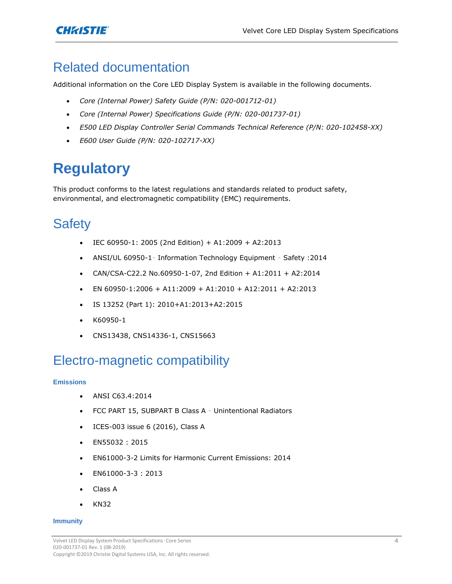

### Related documentation

Additional information on the Core LED Display System is available in the following documents.

- *Core (Internal Power) Safety Guide (P/N: 020-001712-01)*
- *Core (Internal Power) Specifications Guide (P/N: 020-001737-01)*
- *E500 LED Display Controller Serial Commands Technical Reference (P/N: 020-102458-XX)*
- *E600 User Guide (P/N: 020-102717-XX)*

# **Regulatory**

This product conforms to the latest regulations and standards related to product safety, environmental, and electromagnetic compatibility (EMC) requirements.

### **Safety**

- $\bullet$  IEC 60950-1: 2005 (2nd Edition) + A1:2009 + A2:2013
- ANSI/UL 60950-1– Information Technology Equipment Safety :2014
- CAN/CSA-C22.2 No.60950-1-07, 2nd Edition + A1:2011 + A2:2014
- $\bullet$  EN 60950-1:2006 + A11:2009 + A1:2010 + A12:2011 + A2:2013
- IS 13252 (Part 1): 2010+A1:2013+A2:2015
- K60950-1
- CNS13438, CNS14336-1, CNS15663

### Electro-magnetic compatibility

#### **Emissions**

- ANSI C63.4:2014
- FCC PART 15, SUBPART B Class A Unintentional Radiators
- ICES-003 issue 6 (2016), Class A
- EN55032 : 2015
- EN61000-3-2 Limits for Harmonic Current Emissions: 2014
- EN61000-3-3 : 2013
- Class A
- KN32

#### **Immunity**